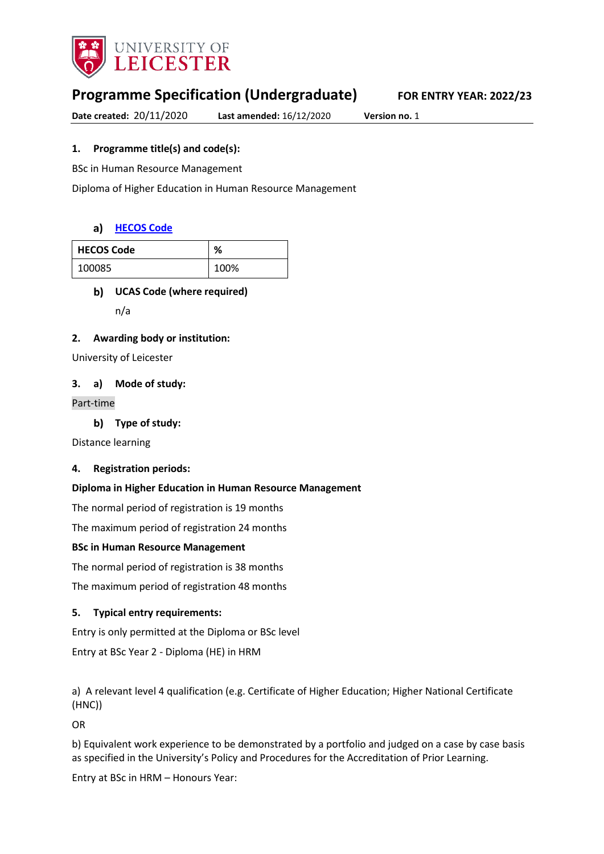

# **Programme Specification (Undergraduate) FOR ENTRY YEAR: 2022/23**

**Date created:** 20/11/2020 **Last amended:** 16/12/2020 **Version no.** 1

# **1. Programme title(s) and code(s):**

BSc in Human Resource Management

Diploma of Higher Education in Human Resource Management

### **[HECOS Code](https://www.hesa.ac.uk/innovation/hecos)**

| <b>HECOS Code</b> | %    |
|-------------------|------|
| 100085            | 100% |

# **UCAS Code (where required)**

n/a

### **2. Awarding body or institution:**

University of Leicester

### **3. a) Mode of study:**

### Part-time

**Type of study:**

Distance learning

### **4. Registration periods:**

### **Diploma in Higher Education in Human Resource Management**

The normal period of registration is 19 months

The maximum period of registration 24 months

### **BSc in Human Resource Management**

The normal period of registration is 38 months

The maximum period of registration 48 months

# **5. Typical entry requirements:**

Entry is only permitted at the Diploma or BSc level

Entry at BSc Year 2 - Diploma (HE) in HRM

a) A relevant level 4 qualification (e.g. Certificate of Higher Education; Higher National Certificate (HNC))

OR

b) Equivalent work experience to be demonstrated by a portfolio and judged on a case by case basis as specified in the University's Policy and Procedures for the Accreditation of Prior Learning.

Entry at BSc in HRM – Honours Year: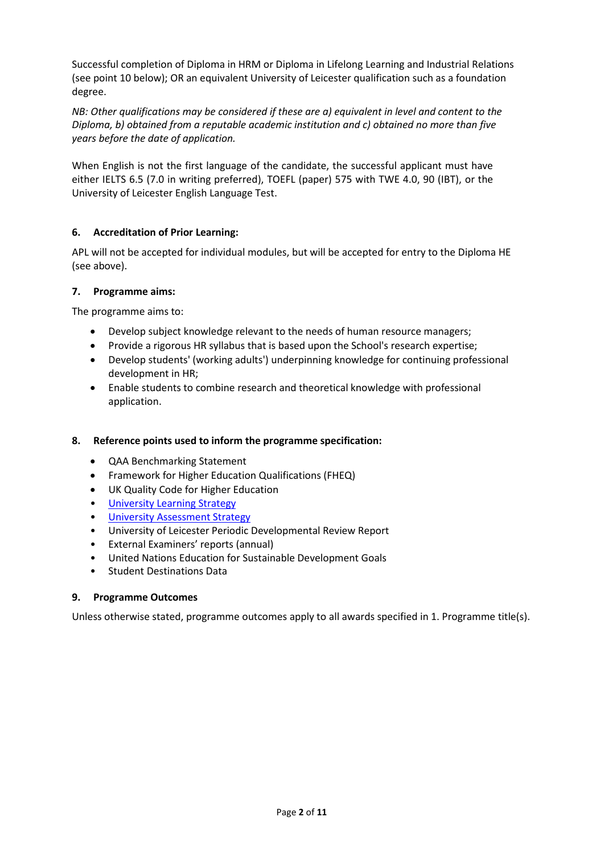Successful completion of Diploma in HRM or Diploma in Lifelong Learning and Industrial Relations (see point 10 below); OR an equivalent University of Leicester qualification such as a foundation degree.

*NB: Other qualifications may be considered if these are a) equivalent in level and content to the Diploma, b) obtained from a reputable academic institution and c) obtained no more than five years before the date of application.*

When English is not the first language of the candidate, the successful applicant must have either IELTS 6.5 (7.0 in writing preferred), TOEFL (paper) 575 with TWE 4.0, 90 (IBT), or the University of Leicester English Language Test.

# **6. Accreditation of Prior Learning:**

APL will not be accepted for individual modules, but will be accepted for entry to the Diploma HE (see above).

### **7. Programme aims:**

The programme aims to:

- Develop subject knowledge relevant to the needs of human resource managers;
- Provide a rigorous HR syllabus that is based upon the School's research expertise;
- Develop students' (working adults') underpinning knowledge for continuing professional development in HR;
- Enable students to combine research and theoretical knowledge with professional application.

### **8. Reference points used to inform the programme specification:**

- QAA Benchmarking Statement
- Framework for Higher Education Qualifications (FHEQ)
- UK Quality Code for Higher Education
- University Learnin[g Strategy](https://www2.le.ac.uk/offices/sas2/quality/learnteach)
- [University Assessment Strategy](https://www2.le.ac.uk/offices/sas2/quality/learnteach)
- University of Leicester Periodic Developmental Review Report
- External Examiners' reports (annual)
- United Nations Education for Sustainable Development Goals
- Student Destinations Data

### **9. Programme Outcomes**

Unless otherwise stated, programme outcomes apply to all awards specified in 1. Programme title(s).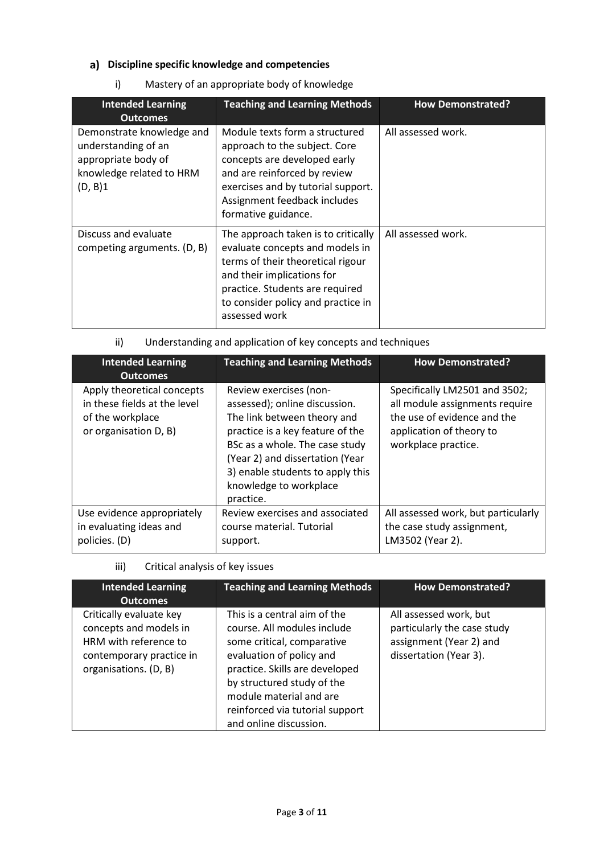# **Discipline specific knowledge and competencies**

i) Mastery of an appropriate body of knowledge

| <b>Intended Learning</b><br><b>Outcomes</b>                                                                    | <b>Teaching and Learning Methods</b>                                                                                                                                                                                                | <b>How Demonstrated?</b> |
|----------------------------------------------------------------------------------------------------------------|-------------------------------------------------------------------------------------------------------------------------------------------------------------------------------------------------------------------------------------|--------------------------|
| Demonstrate knowledge and<br>understanding of an<br>appropriate body of<br>knowledge related to HRM<br>(D, B)1 | Module texts form a structured<br>approach to the subject. Core<br>concepts are developed early<br>and are reinforced by review<br>exercises and by tutorial support.<br>Assignment feedback includes<br>formative guidance.        | All assessed work.       |
| Discuss and evaluate<br>competing arguments. (D, B)                                                            | The approach taken is to critically<br>evaluate concepts and models in<br>terms of their theoretical rigour<br>and their implications for<br>practice. Students are required<br>to consider policy and practice in<br>assessed work | All assessed work.       |

# ii) Understanding and application of key concepts and techniques

| <b>Intended Learning</b><br><b>Outcomes</b>                                                             | <b>Teaching and Learning Methods</b>                                                                                                                                                                                                                                       | <b>How Demonstrated?</b>                                                                                                                          |
|---------------------------------------------------------------------------------------------------------|----------------------------------------------------------------------------------------------------------------------------------------------------------------------------------------------------------------------------------------------------------------------------|---------------------------------------------------------------------------------------------------------------------------------------------------|
| Apply theoretical concepts<br>in these fields at the level<br>of the workplace<br>or organisation D, B) | Review exercises (non-<br>assessed); online discussion.<br>The link between theory and<br>practice is a key feature of the<br>BSc as a whole. The case study<br>(Year 2) and dissertation (Year<br>3) enable students to apply this<br>knowledge to workplace<br>practice. | Specifically LM2501 and 3502;<br>all module assignments require<br>the use of evidence and the<br>application of theory to<br>workplace practice. |
| Use evidence appropriately<br>in evaluating ideas and<br>policies. (D)                                  | Review exercises and associated<br>course material. Tutorial<br>support.                                                                                                                                                                                                   | All assessed work, but particularly<br>the case study assignment,<br>LM3502 (Year 2).                                                             |

iii) Critical analysis of key issues

| <b>Intended Learning</b><br><b>Outcomes</b>                                                                                     | <b>Teaching and Learning Methods</b>                                                                                                                                                                                                                                          | <b>How Demonstrated?</b>                                                                                   |
|---------------------------------------------------------------------------------------------------------------------------------|-------------------------------------------------------------------------------------------------------------------------------------------------------------------------------------------------------------------------------------------------------------------------------|------------------------------------------------------------------------------------------------------------|
| Critically evaluate key<br>concepts and models in<br>HRM with reference to<br>contemporary practice in<br>organisations. (D, B) | This is a central aim of the<br>course. All modules include<br>some critical, comparative<br>evaluation of policy and<br>practice. Skills are developed<br>by structured study of the<br>module material and are<br>reinforced via tutorial support<br>and online discussion. | All assessed work, but<br>particularly the case study<br>assignment (Year 2) and<br>dissertation (Year 3). |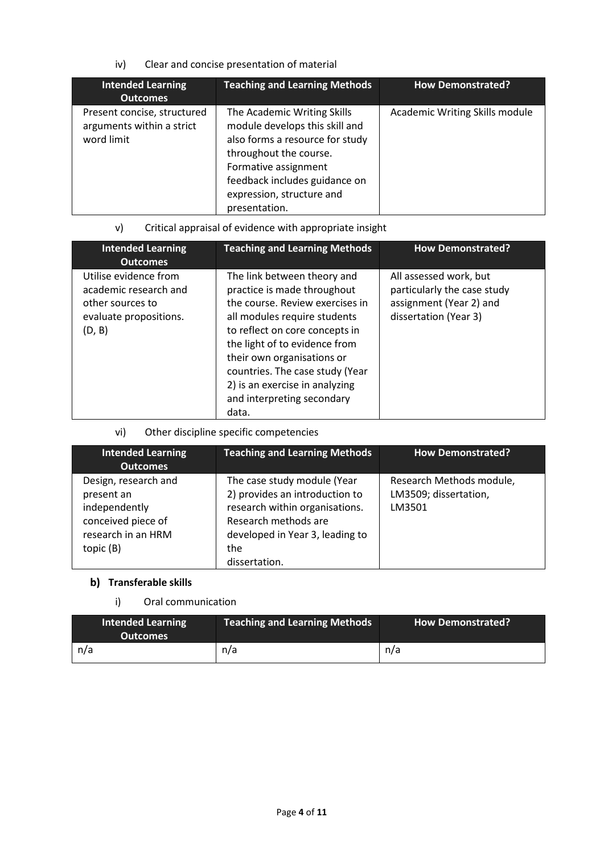iv) Clear and concise presentation of material

| <b>Intended Learning</b><br><b>Outcomes</b>                            | <b>Teaching and Learning Methods</b>                                                                                                                                                                                              | <b>How Demonstrated?</b>       |
|------------------------------------------------------------------------|-----------------------------------------------------------------------------------------------------------------------------------------------------------------------------------------------------------------------------------|--------------------------------|
| Present concise, structured<br>arguments within a strict<br>word limit | The Academic Writing Skills<br>module develops this skill and<br>also forms a resource for study<br>throughout the course.<br>Formative assignment<br>feedback includes guidance on<br>expression, structure and<br>presentation. | Academic Writing Skills module |

v) Critical appraisal of evidence with appropriate insight

| <b>Intended Learning</b><br><b>Outcomes</b>                                                            | <b>Teaching and Learning Methods</b>                                                                                                                                                                                                                                                                                                       | <b>How Demonstrated?</b>                                                                                  |
|--------------------------------------------------------------------------------------------------------|--------------------------------------------------------------------------------------------------------------------------------------------------------------------------------------------------------------------------------------------------------------------------------------------------------------------------------------------|-----------------------------------------------------------------------------------------------------------|
| Utilise evidence from<br>academic research and<br>other sources to<br>evaluate propositions.<br>(D, B) | The link between theory and<br>practice is made throughout<br>the course. Review exercises in<br>all modules require students<br>to reflect on core concepts in<br>the light of to evidence from<br>their own organisations or<br>countries. The case study (Year<br>2) is an exercise in analyzing<br>and interpreting secondary<br>data. | All assessed work, but<br>particularly the case study<br>assignment (Year 2) and<br>dissertation (Year 3) |

# vi) Other discipline specific competencies

| <b>Intended Learning</b><br><b>Outcomes</b>                                                                  | <b>Teaching and Learning Methods</b>                                                                                                                                               | <b>How Demonstrated?</b>                                    |
|--------------------------------------------------------------------------------------------------------------|------------------------------------------------------------------------------------------------------------------------------------------------------------------------------------|-------------------------------------------------------------|
| Design, research and<br>present an<br>independently<br>conceived piece of<br>research in an HRM<br>topic (B) | The case study module (Year<br>2) provides an introduction to<br>research within organisations.<br>Research methods are<br>developed in Year 3, leading to<br>the<br>dissertation. | Research Methods module,<br>LM3509; dissertation,<br>LM3501 |

# **Transferable skills**

# i) Oral communication

| <b>Intended Learning</b><br><b>Outcomes</b> | <b>Teaching and Learning Methods</b> | How Demonstrated? |
|---------------------------------------------|--------------------------------------|-------------------|
| n/a                                         | n/a                                  | n/a               |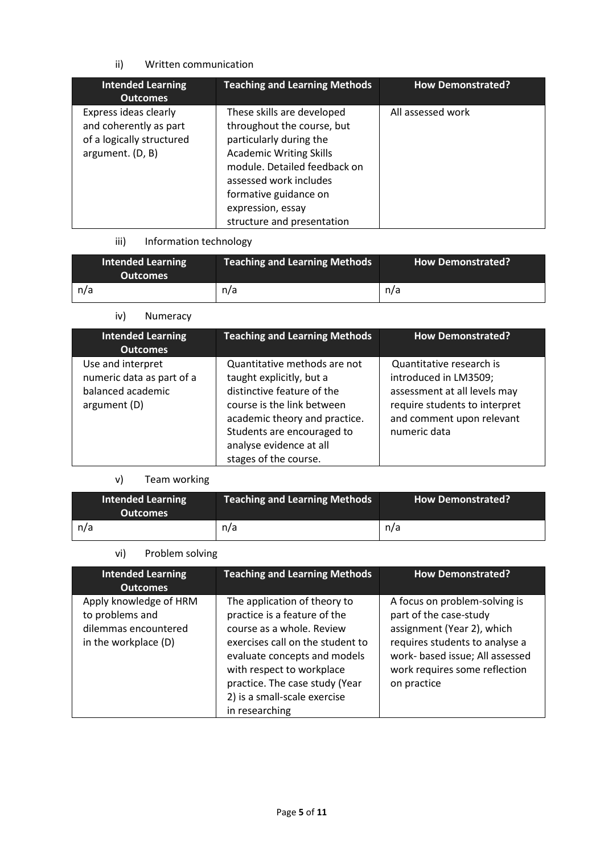# ii) Written communication

| <b>Intended Learning</b><br><b>Outcomes</b>                                                      | <b>Teaching and Learning Methods</b>                                                                                                                                                                                                                        | <b>How Demonstrated?</b> |
|--------------------------------------------------------------------------------------------------|-------------------------------------------------------------------------------------------------------------------------------------------------------------------------------------------------------------------------------------------------------------|--------------------------|
| Express ideas clearly<br>and coherently as part<br>of a logically structured<br>argument. (D, B) | These skills are developed<br>throughout the course, but<br>particularly during the<br><b>Academic Writing Skills</b><br>module. Detailed feedback on<br>assessed work includes<br>formative guidance on<br>expression, essay<br>structure and presentation | All assessed work        |

# iii) Information technology

| <b>Intended Learning</b><br>Outcomes | Teaching and Learning Methods | <b>How Demonstrated?</b> |
|--------------------------------------|-------------------------------|--------------------------|
| n/a                                  | n/a                           | n/a                      |

# iv) Numeracy

| <b>Intended Learning</b><br><b>Outcomes</b>                                         | <b>Teaching and Learning Methods</b>                                                                                                                                                                                                    | <b>How Demonstrated?</b>                                                                                                                                        |
|-------------------------------------------------------------------------------------|-----------------------------------------------------------------------------------------------------------------------------------------------------------------------------------------------------------------------------------------|-----------------------------------------------------------------------------------------------------------------------------------------------------------------|
| Use and interpret<br>numeric data as part of a<br>balanced academic<br>argument (D) | Quantitative methods are not<br>taught explicitly, but a<br>distinctive feature of the<br>course is the link between<br>academic theory and practice.<br>Students are encouraged to<br>analyse evidence at all<br>stages of the course. | Quantitative research is<br>introduced in LM3509;<br>assessment at all levels may<br>require students to interpret<br>and comment upon relevant<br>numeric data |

# v) Team working

| <b>Intended Learning</b><br><b>Outcomes</b> | <b>Teaching and Learning Methods</b> | <b>How Demonstrated?</b> |
|---------------------------------------------|--------------------------------------|--------------------------|
| n/a                                         | n/a                                  | n/a                      |

# vi) Problem solving

| <b>Intended Learning</b><br><b>Outcomes</b>                                               | <b>Teaching and Learning Methods</b>                                                                                                                                                                                                                                           | <b>How Demonstrated?</b>                                                                                                                                                                                   |
|-------------------------------------------------------------------------------------------|--------------------------------------------------------------------------------------------------------------------------------------------------------------------------------------------------------------------------------------------------------------------------------|------------------------------------------------------------------------------------------------------------------------------------------------------------------------------------------------------------|
| Apply knowledge of HRM<br>to problems and<br>dilemmas encountered<br>in the workplace (D) | The application of theory to<br>practice is a feature of the<br>course as a whole. Review<br>exercises call on the student to<br>evaluate concepts and models<br>with respect to workplace<br>practice. The case study (Year<br>2) is a small-scale exercise<br>in researching | A focus on problem-solving is<br>part of the case-study<br>assignment (Year 2), which<br>requires students to analyse a<br>work- based issue; All assessed<br>work requires some reflection<br>on practice |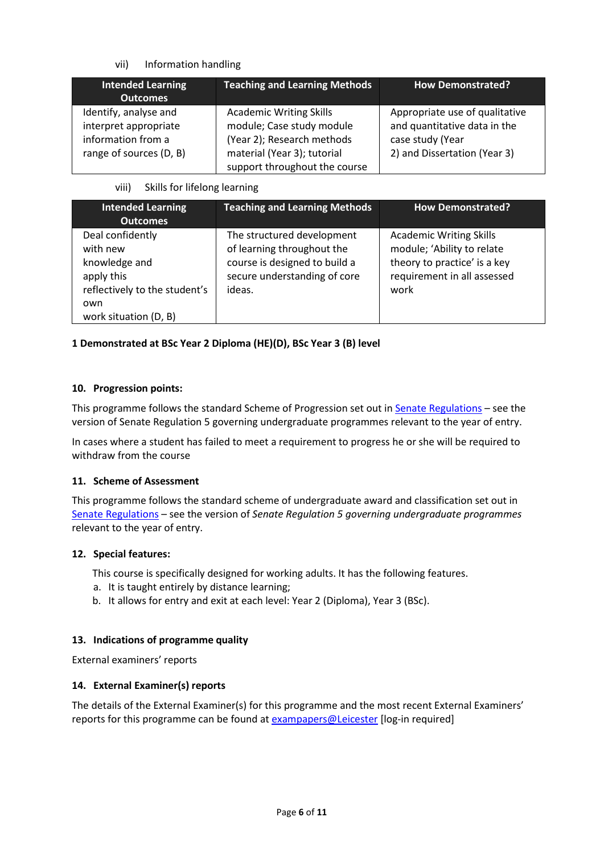### vii) Information handling

| Intended Learning<br><b>Outcomes</b>                                                            | <b>Teaching and Learning Methods</b>                                                                                                                      | <b>How Demonstrated?</b>                                                                                           |
|-------------------------------------------------------------------------------------------------|-----------------------------------------------------------------------------------------------------------------------------------------------------------|--------------------------------------------------------------------------------------------------------------------|
| Identify, analyse and<br>interpret appropriate<br>information from a<br>range of sources (D, B) | <b>Academic Writing Skills</b><br>module; Case study module<br>(Year 2); Research methods<br>material (Year 3); tutorial<br>support throughout the course | Appropriate use of qualitative<br>and quantitative data in the<br>case study (Year<br>2) and Dissertation (Year 3) |

### viii) Skills for lifelong learning

| <b>Intended Learning</b><br><b>Outcomes</b>                                                                                  | <b>Teaching and Learning Methods</b>                                                                                                | <b>How Demonstrated?</b>                                                                                                            |
|------------------------------------------------------------------------------------------------------------------------------|-------------------------------------------------------------------------------------------------------------------------------------|-------------------------------------------------------------------------------------------------------------------------------------|
| Deal confidently<br>with new<br>knowledge and<br>apply this<br>reflectively to the student's<br>own<br>work situation (D, B) | The structured development<br>of learning throughout the<br>course is designed to build a<br>secure understanding of core<br>ideas. | <b>Academic Writing Skills</b><br>module; 'Ability to relate<br>theory to practice' is a key<br>requirement in all assessed<br>work |

# **1 Demonstrated at BSc Year 2 Diploma (HE)(D), BSc Year 3 (B) level**

### **10. Progression points:**

This programme follows the standard Scheme of Progression set out i[n Senate Regulations](http://www.le.ac.uk/senate-regulations) – see the version of Senate Regulation 5 governing undergraduate programmes relevant to the year of entry.

In cases where a student has failed to meet a requirement to progress he or she will be required to withdraw from the course

### **11. Scheme of Assessment**

This programme follows the standard scheme of undergraduate award and classification set out in [Senate Regulations](http://www.le.ac.uk/senate-regulations) – see the version of *Senate Regulation 5 governing undergraduate programmes* relevant to the year of entry.

### **12. Special features:**

This course is specifically designed for working adults. It has the following features.

- a. It is taught entirely by distance learning;
- b. It allows for entry and exit at each level: Year 2 (Diploma), Year 3 (BSc).

### **13. Indications of programme quality**

External examiners' reports

### **14. External Examiner(s) reports**

The details of the External Examiner(s) for this programme and the most recent External Examiners' reports for this programme can be found at [exampapers@Leicester](https://exampapers.le.ac.uk/) [log-in required]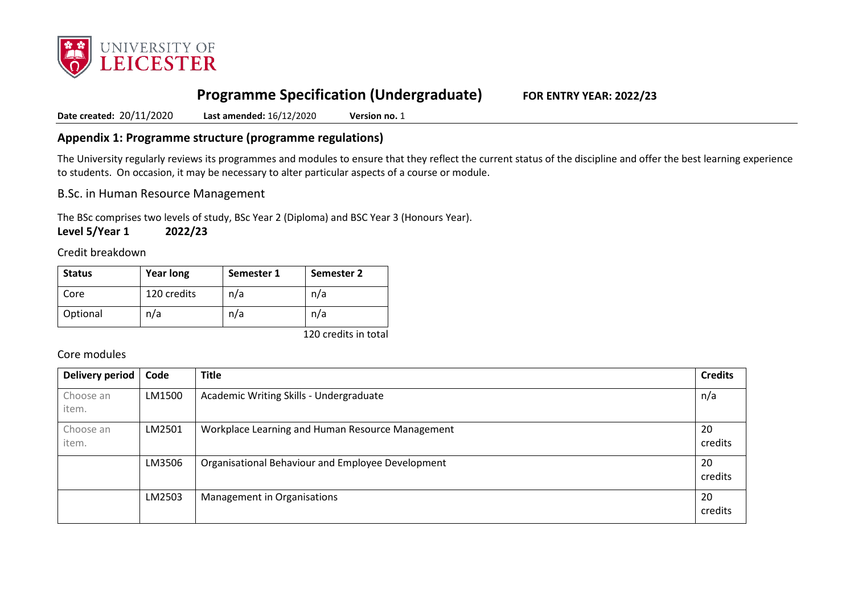

# **Programme Specification (Undergraduate) FOR ENTRY YEAR: 2022/23**

**Date created:** 20/11/2020 **Last amended:** 16/12/2020 **Version no.** 1

# **Appendix 1: Programme structure (programme regulations)**

The University regularly reviews its programmes and modules to ensure that they reflect the current status of the discipline and offer the best learning experience to students. On occasion, it may be necessary to alter particular aspects of a course or module.

B.Sc. in Human Resource Management

The BSc comprises two levels of study, BSc Year 2 (Diploma) and BSC Year 3 (Honours Year).

**Level 5/Year 1 2022/23**

Credit breakdown

| <b>Year long</b><br><b>Status</b> |             | Semester 1 | Semester 2 |
|-----------------------------------|-------------|------------|------------|
| Core                              | 120 credits | n/a        | n/a        |
| Optional                          | n/a         | n/a        | n/a        |

120 credits in total

# Core modules

| <b>Delivery period</b> | Code   | <b>Title</b>                                      | <b>Credits</b> |
|------------------------|--------|---------------------------------------------------|----------------|
| Choose an<br>item.     | LM1500 | Academic Writing Skills - Undergraduate           | n/a            |
| Choose an<br>item.     | LM2501 | Workplace Learning and Human Resource Management  | 20<br>credits  |
|                        | LM3506 | Organisational Behaviour and Employee Development | 20<br>credits  |
|                        | LM2503 | Management in Organisations                       | 20<br>credits  |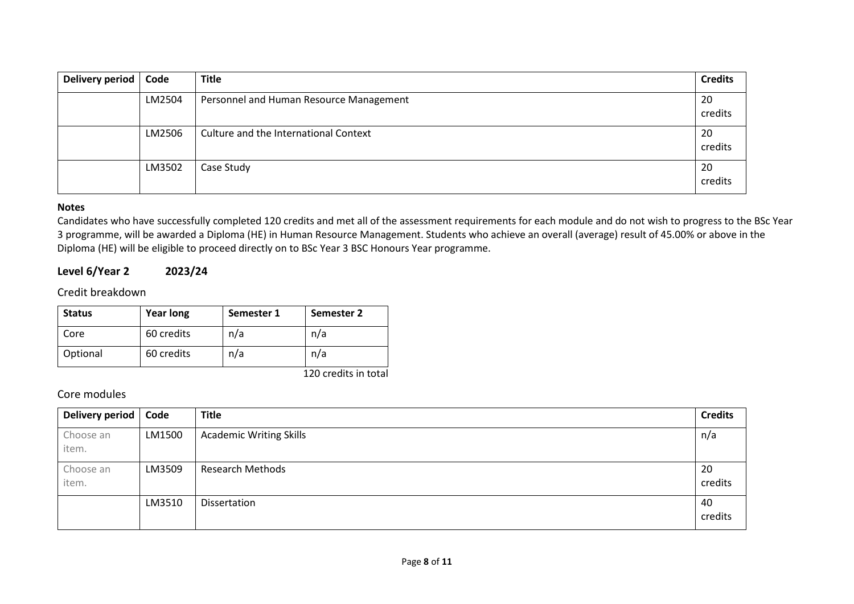| Delivery period | Code   | <b>Title</b>                            | <b>Credits</b> |
|-----------------|--------|-----------------------------------------|----------------|
|                 | LM2504 | Personnel and Human Resource Management | 20<br>credits  |
|                 | LM2506 | Culture and the International Context   | 20<br>credits  |
|                 | LM3502 | Case Study                              | 20<br>credits  |

### **Notes**

Candidates who have successfully completed 120 credits and met all of the assessment requirements for each module and do not wish to progress to the BSc Year 3 programme, will be awarded a Diploma (HE) in Human Resource Management. Students who achieve an overall (average) result of 45.00% or above in the Diploma (HE) will be eligible to proceed directly on to BSc Year 3 BSC Honours Year programme.

# **Level 6/Year 2 2023/24**

Credit breakdown

| <b>Status</b> | <b>Year long</b> | Semester 1 | Semester 2            |
|---------------|------------------|------------|-----------------------|
| Core          | 60 credits       | n/a        | n/a                   |
| Optional      | 60 credits       | n/a        | n/a                   |
|               |                  |            | $1.20 \times 10^{-1}$ |

120 credits in total

# Core modules

| Delivery period | Code   | <b>Title</b>                   | <b>Credits</b> |
|-----------------|--------|--------------------------------|----------------|
| Choose an       | LM1500 | <b>Academic Writing Skills</b> | n/a            |
| item.           |        |                                |                |
| Choose an       | LM3509 | <b>Research Methods</b>        | 20             |
| item.           |        |                                | credits        |
|                 | LM3510 | Dissertation                   | 40             |
|                 |        |                                | credits        |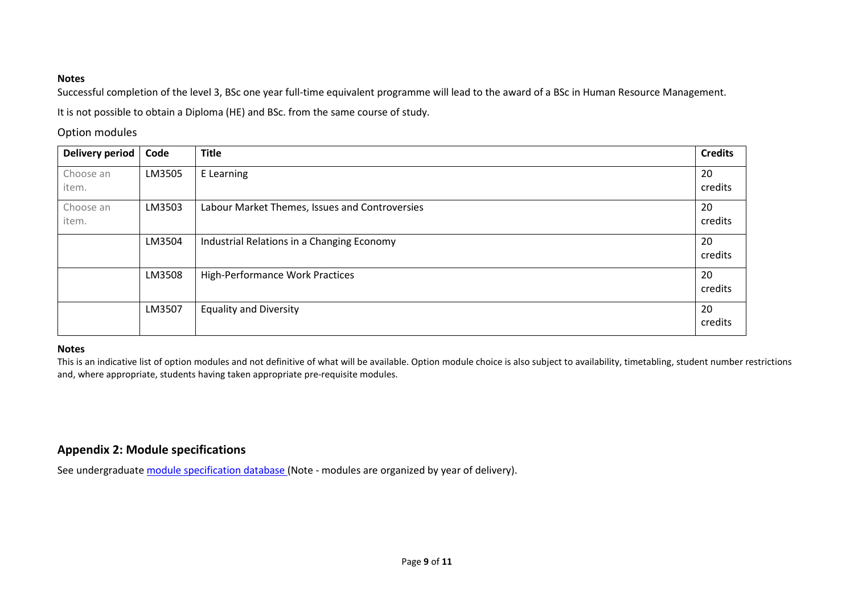### **Notes**

Successful completion of the level 3, BSc one year full-time equivalent programme will lead to the award of a BSc in Human Resource Management. It is not possible to obtain a Diploma (HE) and BSc. from the same course of study.

### Option modules

| <b>Delivery period</b> | Code   | <b>Title</b>                                   | <b>Credits</b> |
|------------------------|--------|------------------------------------------------|----------------|
| Choose an<br>item.     | LM3505 | E Learning                                     | 20<br>credits  |
| Choose an<br>item.     | LM3503 | Labour Market Themes, Issues and Controversies | 20<br>credits  |
|                        | LM3504 | Industrial Relations in a Changing Economy     | 20<br>credits  |
|                        | LM3508 | High-Performance Work Practices                | 20<br>credits  |
|                        | LM3507 | <b>Equality and Diversity</b>                  | 20<br>credits  |

### **Notes**

This is an indicative list of option modules and not definitive of what will be available. Option module choice is also subject to availability, timetabling, student number restrictions and, where appropriate, students having taken appropriate pre-requisite modules.

# **Appendix 2: Module specifications**

See undergraduat[e module specification database](http://www.le.ac.uk/sas/courses/documentation) (Note - modules are organized by year of delivery).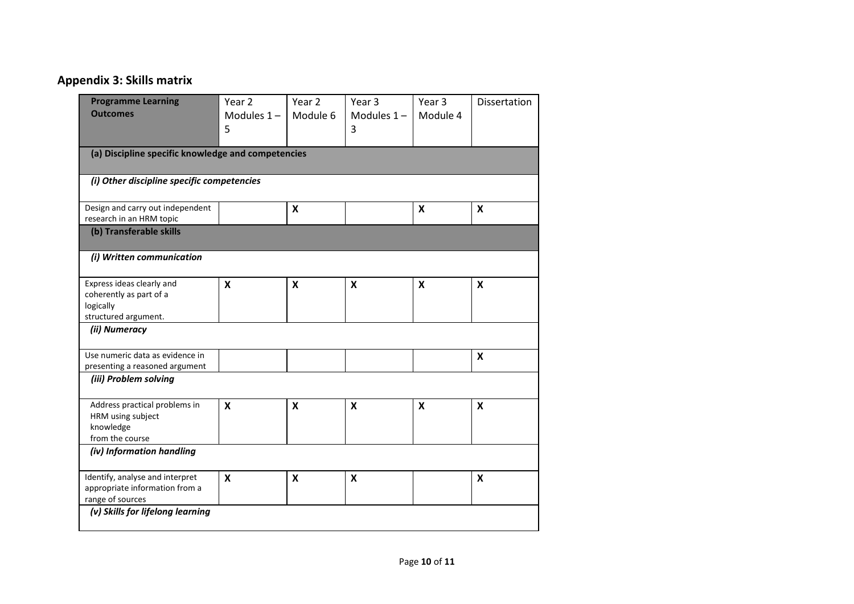# **Appendix 3: Skills matrix**

| <b>Programme Learning</b><br><b>Outcomes</b>                                              | Year 2<br>Modules $1 -$<br>5 | Year 2<br>Module 6 | Year 3<br>Modules $1-$<br>3 | Year 3<br>Module 4        | Dissertation              |
|-------------------------------------------------------------------------------------------|------------------------------|--------------------|-----------------------------|---------------------------|---------------------------|
| (a) Discipline specific knowledge and competencies                                        |                              |                    |                             |                           |                           |
| (i) Other discipline specific competencies                                                |                              |                    |                             |                           |                           |
| Design and carry out independent<br>research in an HRM topic                              |                              | $\pmb{\mathsf{X}}$ |                             | $\boldsymbol{\mathsf{x}}$ | $\boldsymbol{\mathsf{x}}$ |
| (b) Transferable skills                                                                   |                              |                    |                             |                           |                           |
| (i) Written communication                                                                 |                              |                    |                             |                           |                           |
| Express ideas clearly and<br>coherently as part of a<br>logically<br>structured argument. | X                            | $\pmb{\mathsf{X}}$ | X                           | $\boldsymbol{\mathsf{x}}$ | X                         |
| (ii) Numeracy                                                                             |                              |                    |                             |                           |                           |
| Use numeric data as evidence in<br>presenting a reasoned argument                         |                              |                    |                             |                           | X                         |
| (iii) Problem solving                                                                     |                              |                    |                             |                           |                           |
| Address practical problems in<br>HRM using subject<br>knowledge<br>from the course        | X                            | X                  | X                           | X                         | X                         |
| (iv) Information handling                                                                 |                              |                    |                             |                           |                           |
| Identify, analyse and interpret<br>appropriate information from a<br>range of sources     | $\pmb{\mathsf{X}}$           | $\pmb{\mathsf{X}}$ | $\boldsymbol{\mathsf{x}}$   |                           | X                         |
| (v) Skills for lifelong learning                                                          |                              |                    |                             |                           |                           |